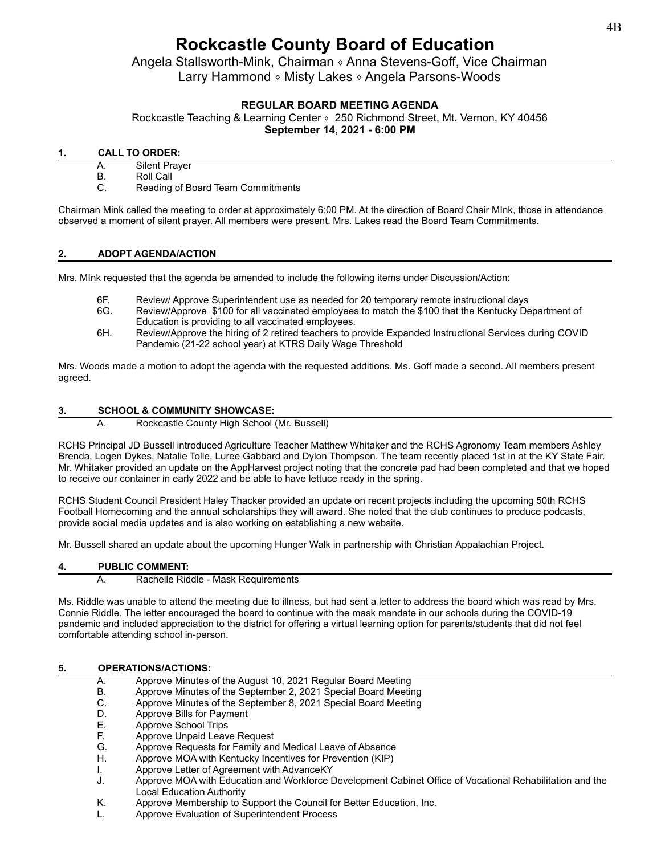# **Rockcastle County Board of Education**

Angela Stallsworth-Mink, Chairman 
<sup>§</sup> Anna Stevens-Goff, Vice Chairman Larry Hammond ⬧ Misty Lakes ⬧ Angela Parsons-Woods

# **REGULAR BOARD MEETING AGENDA**

Rockcastle Teaching & Learning Center ∘ 250 Richmond Street, Mt. Vernon, KY 40456 **September 14, 2021 - 6:00 PM**

# **1. CALL TO ORDER:**

- A. Silent Prayer
- B. Roll Call
- C. Reading of Board Team Commitments

Chairman Mink called the meeting to order at approximately 6:00 PM. At the direction of Board Chair MInk, those in attendance observed a moment of silent prayer. All members were present. Mrs. Lakes read the Board Team Commitments.

### **2. ADOPT AGENDA/ACTION**

Mrs. MInk requested that the agenda be amended to include the following items under Discussion/Action:

- 6F. Review/ Approve Superintendent use as needed for 20 temporary remote instructional days
- 6G. Review/Approve \$100 for all vaccinated employees to match the \$100 that the Kentucky Department of Education is providing to all vaccinated employees.
- 6H. Review/Approve the hiring of 2 retired teachers to provide Expanded Instructional Services during COVID Pandemic (21-22 school year) at KTRS Daily Wage Threshold

Mrs. Woods made a motion to adopt the agenda with the requested additions. Ms. Goff made a second. All members present agreed.

# **3. SCHOOL & COMMUNITY SHOWCASE:**

A. Rockcastle County High School (Mr. Bussell)

RCHS Principal JD Bussell introduced Agriculture Teacher Matthew Whitaker and the RCHS Agronomy Team members Ashley Brenda, Logen Dykes, Natalie Tolle, Luree Gabbard and Dylon Thompson. The team recently placed 1st in at the KY State Fair. Mr. Whitaker provided an update on the AppHarvest project noting that the concrete pad had been completed and that we hoped to receive our container in early 2022 and be able to have lettuce ready in the spring.

RCHS Student Council President Haley Thacker provided an update on recent projects including the upcoming 50th RCHS Football Homecoming and the annual scholarships they will award. She noted that the club continues to produce podcasts, provide social media updates and is also working on establishing a new website.

Mr. Bussell shared an update about the upcoming Hunger Walk in partnership with Christian Appalachian Project.

#### **4. PUBLIC COMMENT:**

A. Rachelle Riddle - Mask Requirements

Ms. Riddle was unable to attend the meeting due to illness, but had sent a letter to address the board which was read by Mrs. Connie Riddle. The letter encouraged the board to continue with the mask mandate in our schools during the COVID-19 pandemic and included appreciation to the district for offering a virtual learning option for parents/students that did not feel comfortable attending school in-person.

#### **5. OPERATIONS/ACTIONS:**

- A. Approve Minutes of the August 10, 2021 Regular Board Meeting
- 
- B. Approve Minutes of the September 2, 2021 Special Board Meeting<br>C. Approve Minutes of the September 8, 2021 Special Board Meeting C. Approve Minutes of the September 8, 2021 Special Board Meeting
- 
- D. Approve Bills for Payment<br>E. Approve School Trips E. Approve School Trips<br>F. Approve Unpaid Leav
- Approve Unpaid Leave Request
- G. Approve Requests for Family and Medical Leave of Absence
- H. Approve MOA with Kentucky Incentives for Prevention (KIP)
- I. Approve Letter of Agreement with AdvanceKY
- J. Approve MOA with Education and Workforce Development Cabinet Office of Vocational Rehabilitation and the Local Education Authority
- K. Approve Membership to Support the Council for Better Education, Inc.
- L. Approve Evaluation of Superintendent Process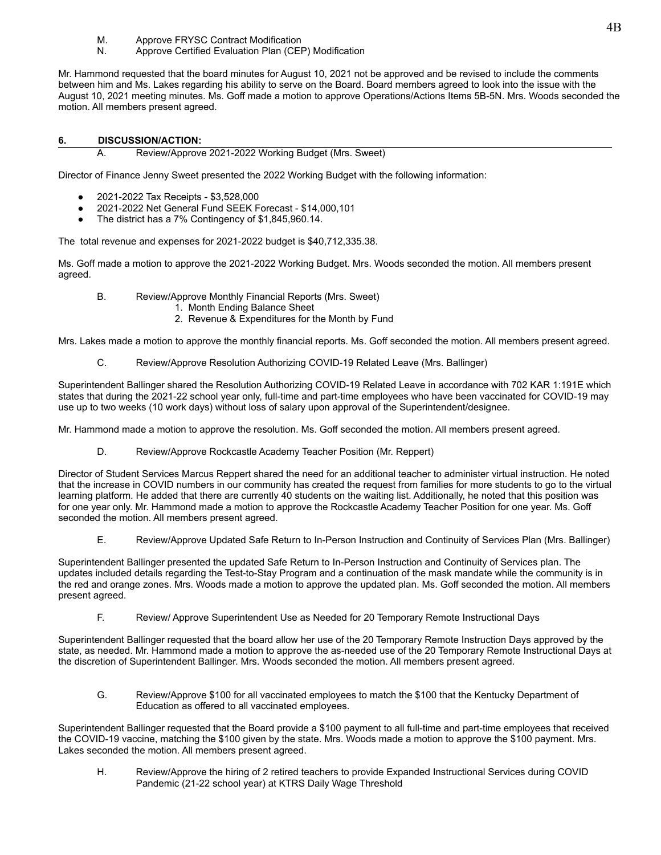- M. Approve FRYSC Contract Modification
- N. Approve Certified Evaluation Plan (CEP) Modification

Mr. Hammond requested that the board minutes for August 10, 2021 not be approved and be revised to include the comments between him and Ms. Lakes regarding his ability to serve on the Board. Board members agreed to look into the issue with the August 10, 2021 meeting minutes. Ms. Goff made a motion to approve Operations/Actions Items 5B-5N. Mrs. Woods seconded the motion. All members present agreed.

### **6. DISCUSSION/ACTION:**

A. Review/Approve 2021-2022 Working Budget (Mrs. Sweet)

Director of Finance Jenny Sweet presented the 2022 Working Budget with the following information:

- 2021-2022 Tax Receipts \$3,528,000
- 2021-2022 Net General Fund SEEK Forecast \$14,000,101
- The district has a 7% Contingency of \$1,845,960.14.

The total revenue and expenses for 2021-2022 budget is \$40,712,335.38.

Ms. Goff made a motion to approve the 2021-2022 Working Budget. Mrs. Woods seconded the motion. All members present agreed.

- B. Review/Approve Monthly Financial Reports (Mrs. Sweet)
	- 1. Month Ending Balance Sheet
	- 2. Revenue & Expenditures for the Month by Fund

Mrs. Lakes made a motion to approve the monthly financial reports. Ms. Goff seconded the motion. All members present agreed.

C. Review/Approve Resolution Authorizing COVID-19 Related Leave (Mrs. Ballinger)

Superintendent Ballinger shared the Resolution Authorizing COVID-19 Related Leave in accordance with 702 KAR 1:191E which states that during the 2021-22 school year only, full-time and part-time employees who have been vaccinated for COVID-19 may use up to two weeks (10 work days) without loss of salary upon approval of the Superintendent/designee.

Mr. Hammond made a motion to approve the resolution. Ms. Goff seconded the motion. All members present agreed.

D. Review/Approve Rockcastle Academy Teacher Position (Mr. Reppert)

Director of Student Services Marcus Reppert shared the need for an additional teacher to administer virtual instruction. He noted that the increase in COVID numbers in our community has created the request from families for more students to go to the virtual learning platform. He added that there are currently 40 students on the waiting list. Additionally, he noted that this position was for one year only. Mr. Hammond made a motion to approve the Rockcastle Academy Teacher Position for one year. Ms. Goff seconded the motion. All members present agreed.

E. Review/Approve Updated Safe Return to In-Person Instruction and Continuity of Services Plan (Mrs. Ballinger)

Superintendent Ballinger presented the updated Safe Return to In-Person Instruction and Continuity of Services plan. The updates included details regarding the Test-to-Stay Program and a continuation of the mask mandate while the community is in the red and orange zones. Mrs. Woods made a motion to approve the updated plan. Ms. Goff seconded the motion. All members present agreed.

F. Review/ Approve Superintendent Use as Needed for 20 Temporary Remote Instructional Days

Superintendent Ballinger requested that the board allow her use of the 20 Temporary Remote Instruction Days approved by the state, as needed. Mr. Hammond made a motion to approve the as-needed use of the 20 Temporary Remote Instructional Days at the discretion of Superintendent Ballinger. Mrs. Woods seconded the motion. All members present agreed.

G. Review/Approve \$100 for all vaccinated employees to match the \$100 that the Kentucky Department of Education as offered to all vaccinated employees.

Superintendent Ballinger requested that the Board provide a \$100 payment to all full-time and part-time employees that received the COVID-19 vaccine, matching the \$100 given by the state. Mrs. Woods made a motion to approve the \$100 payment. Mrs. Lakes seconded the motion. All members present agreed.

H. Review/Approve the hiring of 2 retired teachers to provide Expanded Instructional Services during COVID Pandemic (21-22 school year) at KTRS Daily Wage Threshold